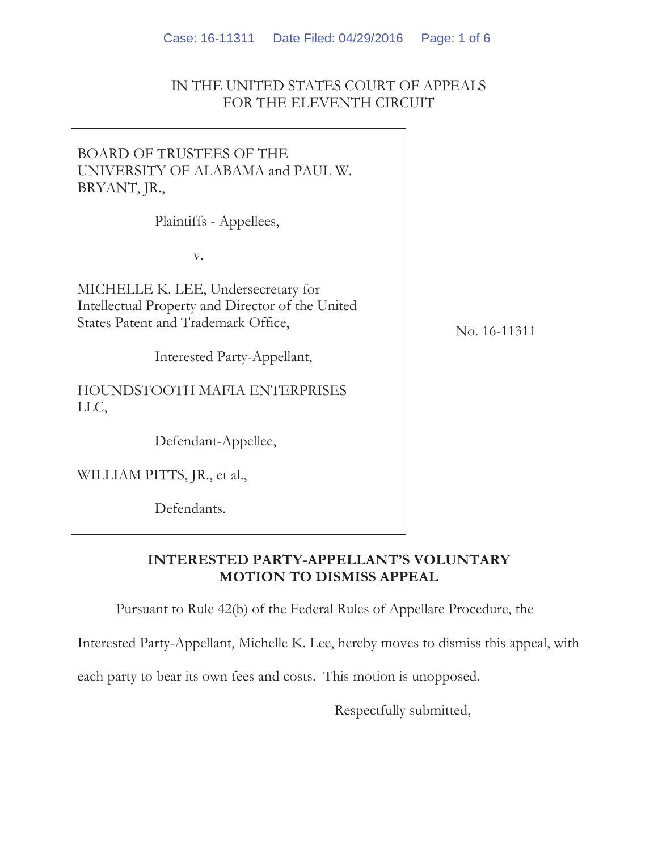#### IN THE UNITED STATES COURT OF APPEALS FOR THE ELEVENTH CIRCUIT

# BOARD OF TRUSTEES OF THE UNIVERSITY OF ALABAMA and PAUL W. BRYANT, JR.,

Plaintiffs - Appellees,

v.

MICHELLE K. LEE, Undersecretary for Intellectual Property and Director of the United States Patent and Trademark Office,

Interested Party-Appellant,

HOUNDSTOOTH MAFIA ENTERPRISES LLC,

Defendant-Appellee,

WILLIAM PITTS, JR., et al.,

Defendants.

No. 16-11311

# **INTERESTED PARTY-APPELLANT'S VOLUNTARY MOTION TO DISMISS APPEAL**

Pursuant to Rule 42(b) of the Federal Rules of Appellate Procedure, the

Interested Party-Appellant, Michelle K. Lee, hereby moves to dismiss this appeal, with

each party to bear its own fees and costs. This motion is unopposed.

Respectfully submitted,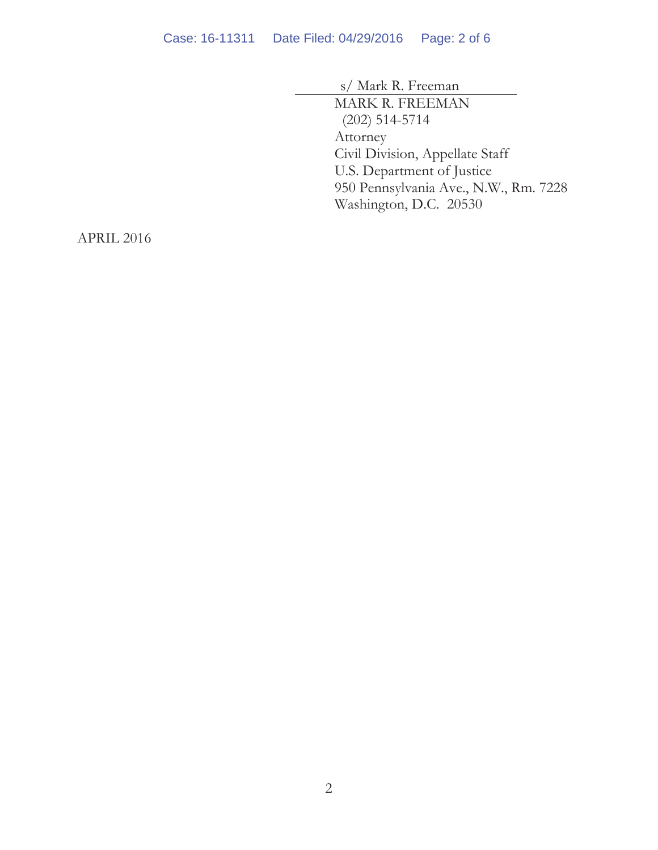s/ Mark R. Freeman MARK R. FREEMAN (202) 514-5714 Attorney Civil Division, Appellate Staff U.S. Department of Justice 950 Pennsylvania Ave., N.W., Rm. 7228 Washington, D.C. 20530

APRIL 2016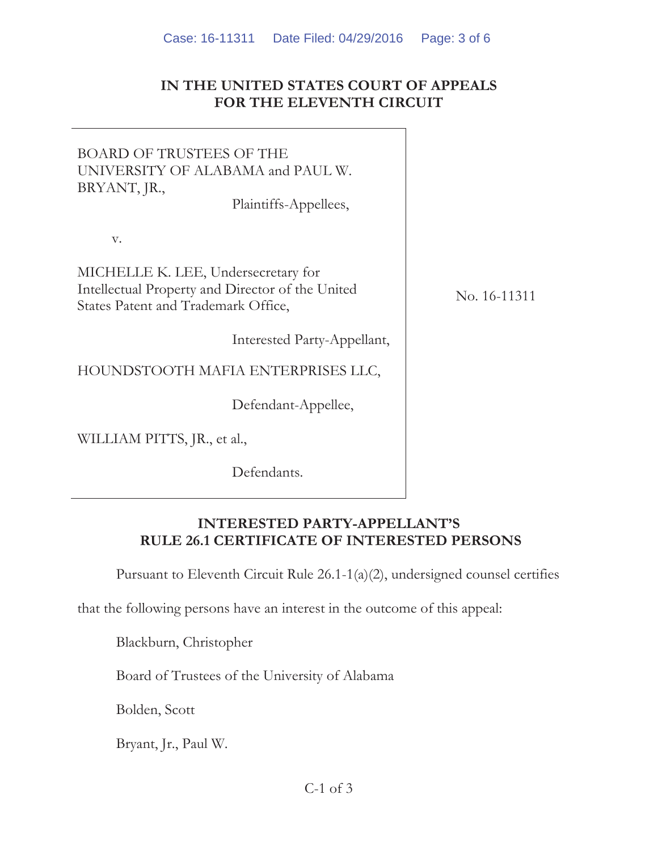### **IN THE UNITED STATES COURT OF APPEALS FOR THE ELEVENTH CIRCUIT**

BOARD OF TRUSTEES OF THE UNIVERSITY OF ALABAMA and PAUL W. BRYANT, JR., Plaintiffs-Appellees,

v.

MICHELLE K. LEE, Undersecretary for Intellectual Property and Director of the United States Patent and Trademark Office,

Interested Party-Appellant,

HOUNDSTOOTH MAFIA ENTERPRISES LLC,

Defendant-Appellee,

WILLIAM PITTS, JR., et al.,

Defendants.

No. 16-11311

### **INTERESTED PARTY-APPELLANT'S RULE 26.1 CERTIFICATE OF INTERESTED PERSONS**

Pursuant to Eleventh Circuit Rule 26.1-1(a)(2), undersigned counsel certifies

that the following persons have an interest in the outcome of this appeal:

Blackburn, Christopher

Board of Trustees of the University of Alabama

Bolden, Scott

Bryant, Jr., Paul W.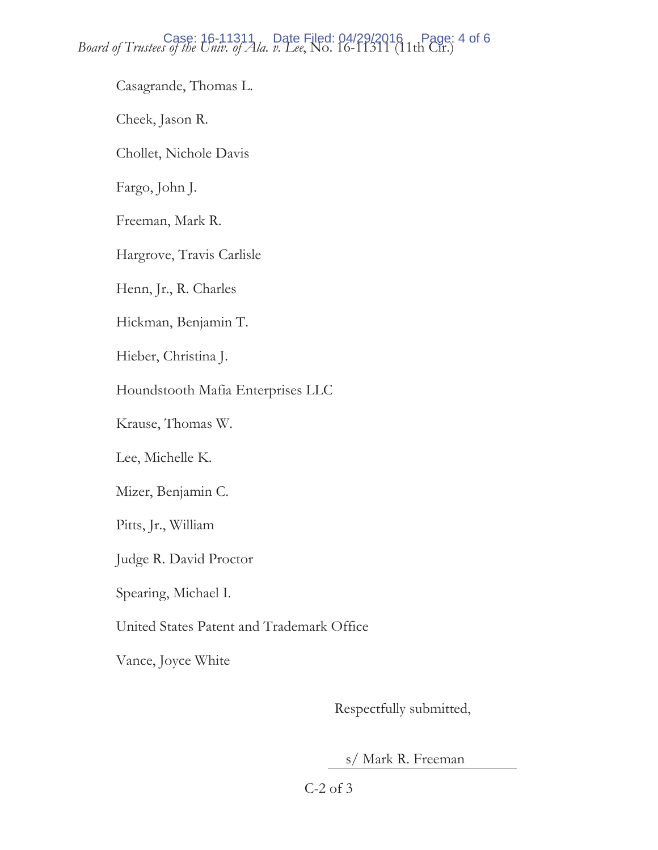*Board of Trustees of the Univ. of Ala. v. Lee,* No. 16-11311 (11th Cir.) *Page: 4 of 6* 

Casagrande, Thomas L.

Cheek, Jason R.

Chollet, Nichole Davis

Fargo, John J.

Freeman, Mark R.

Hargrove, Travis Carlisle

Henn, Jr., R. Charles

Hickman, Benjamin T.

Hieber, Christina J.

Houndstooth Mafia Enterprises LLC

Krause, Thomas W.

Lee, Michelle K.

Mizer, Benjamin C.

Pitts, Jr., William

Judge R. David Proctor

Spearing, Michael I.

United States Patent and Trademark Office

Vance, Joyce White

Respectfully submitted,

s/ Mark R. Freeman

C-2 of 3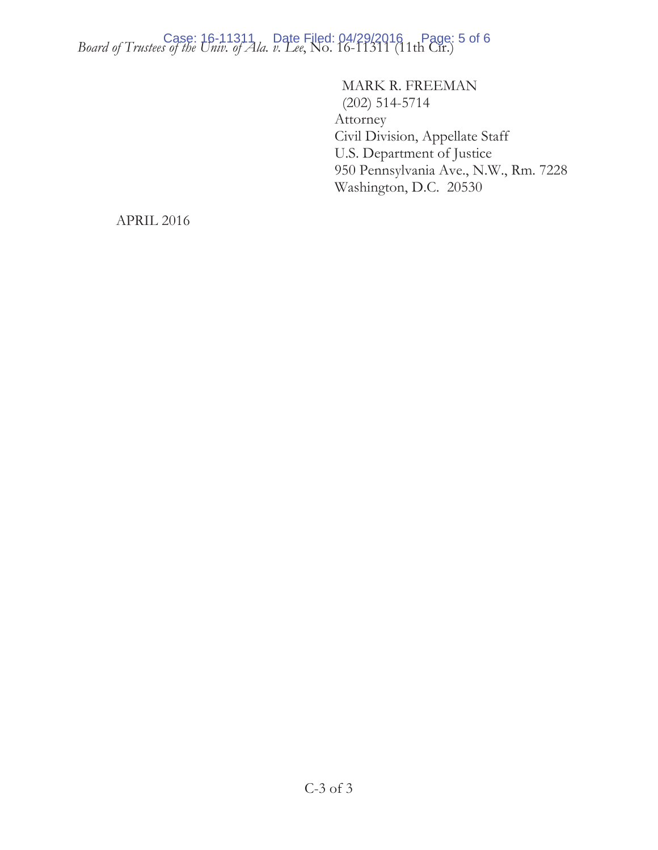*Board of Trustees of the Univ. of Ala. v. Lee,* No. 16-11311 (11th Cir.) Page: 5 of 6

 MARK R. FREEMAN (202) 514-5714 Attorney Civil Division, Appellate Staff U.S. Department of Justice 950 Pennsylvania Ave., N.W., Rm. 7228 Washington, D.C. 20530

APRIL 2016